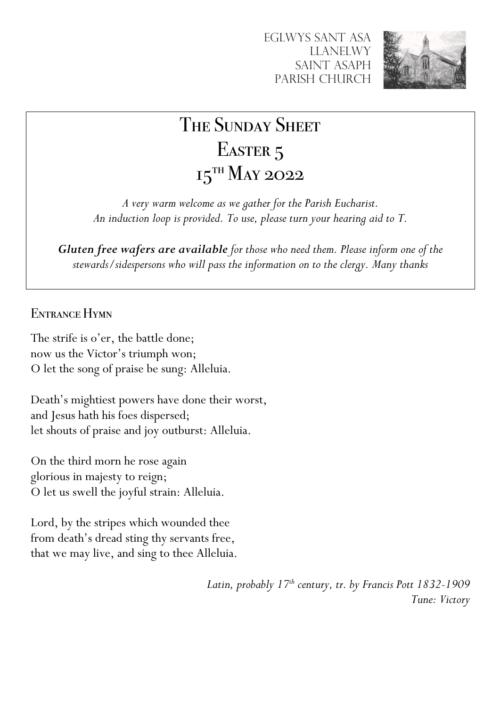

# THE SUNDAY SHEET EASTER<sub>5</sub>  $15$ <sup>TH</sup> May 2022

*A very warm welcome as we gather for the Parish Eucharist. An induction loop is provided. To use, please turn your hearing aid to T.*

*Gluten free wafers are available for those who need them. Please inform one of the stewards/sidespersons who will pass the information on to the clergy. Many thanks*

ENTRANCE HYMN

The strife is o'er, the battle done; now us the Victor's triumph won; O let the song of praise be sung: Alleluia.

Death's mightiest powers have done their worst, and Jesus hath his foes dispersed; let shouts of praise and joy outburst: Alleluia.

On the third morn he rose again glorious in majesty to reign; O let us swell the joyful strain: Alleluia.

Lord, by the stripes which wounded thee from death's dread sting thy servants free, that we may live, and sing to thee Alleluia.

> *Latin, probably 17th century, tr. by Francis Pott 1832-1909 Tune: Victory*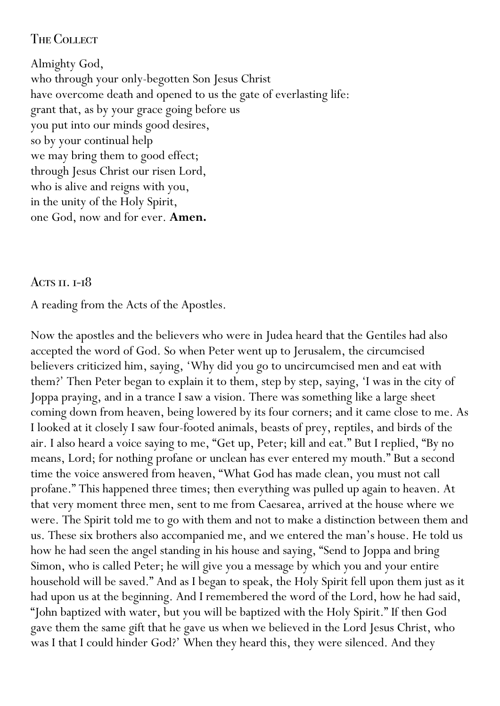## **THE COLLECT**

Almighty God, who through your only-begotten Son Jesus Christ have overcome death and opened to us the gate of everlasting life: grant that, as by your grace going before us you put into our minds good desires, so by your continual help we may bring them to good effect; through Jesus Christ our risen Lord, who is alive and reigns with you, in the unity of the Holy Spirit, one God, now and for ever. **Amen.**

#### ACTS  $II. I-I$ <sup>8</sup>

A reading from the Acts of the Apostles.

Now the apostles and the believers who were in Judea heard that the Gentiles had also accepted the word of God. So when Peter went up to Jerusalem, the circumcised believers criticized him, saying, 'Why did you go to uncircumcised men and eat with them?' Then Peter began to explain it to them, step by step, saying, 'I was in the city of Joppa praying, and in a trance I saw a vision. There was something like a large sheet coming down from heaven, being lowered by its four corners; and it came close to me. As I looked at it closely I saw four-footed animals, beasts of prey, reptiles, and birds of the air. I also heard a voice saying to me, "Get up, Peter; kill and eat." But I replied, "By no means, Lord; for nothing profane or unclean has ever entered my mouth." But a second time the voice answered from heaven, "What God has made clean, you must not call profane." This happened three times; then everything was pulled up again to heaven. At that very moment three men, sent to me from Caesarea, arrived at the house where we were. The Spirit told me to go with them and not to make a distinction between them and us. These six brothers also accompanied me, and we entered the man's house. He told us how he had seen the angel standing in his house and saying, "Send to Joppa and bring Simon, who is called Peter; he will give you a message by which you and your entire household will be saved." And as I began to speak, the Holy Spirit fell upon them just as it had upon us at the beginning. And I remembered the word of the Lord, how he had said, "John baptized with water, but you will be baptized with the Holy Spirit." If then God gave them the same gift that he gave us when we believed in the Lord Jesus Christ, who was I that I could hinder God?' When they heard this, they were silenced. And they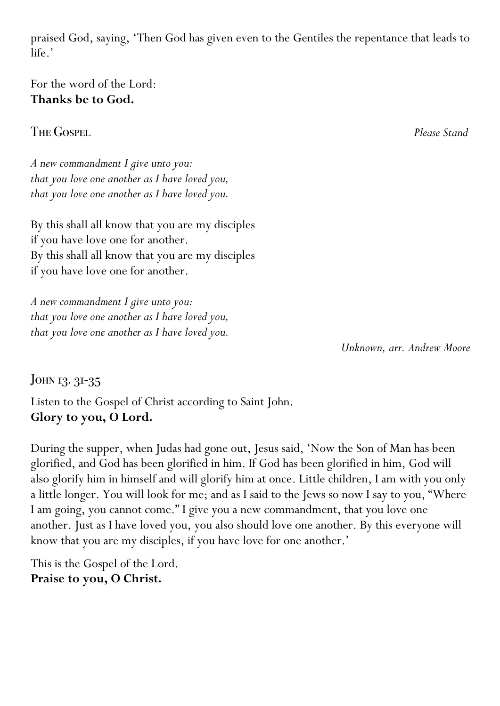praised God, saying, 'Then God has given even to the Gentiles the repentance that leads to life.'

For the word of the Lord: **Thanks be to God.**

The Gospel *Please Stand*

*A new commandment I give unto you: that you love one another as I have loved you, that you love one another as I have loved you.*

By this shall all know that you are my disciples if you have love one for another. By this shall all know that you are my disciples if you have love one for another.

*A new commandment I give unto you: that you love one another as I have loved you, that you love one another as I have loved you.*

*Unknown, arr. Andrew Moore*

JOHN 13. 31-35

Listen to the Gospel of Christ according to Saint John. **Glory to you, O Lord.**

During the supper, when Judas had gone out, Jesus said, 'Now the Son of Man has been glorified, and God has been glorified in him. If God has been glorified in him, God will also glorify him in himself and will glorify him at once. Little children, I am with you only a little longer. You will look for me; and as I said to the Jews so now I say to you, "Where I am going, you cannot come." I give you a new commandment, that you love one another. Just as I have loved you, you also should love one another. By this everyone will know that you are my disciples, if you have love for one another.'

This is the Gospel of the Lord. **Praise to you, O Christ.**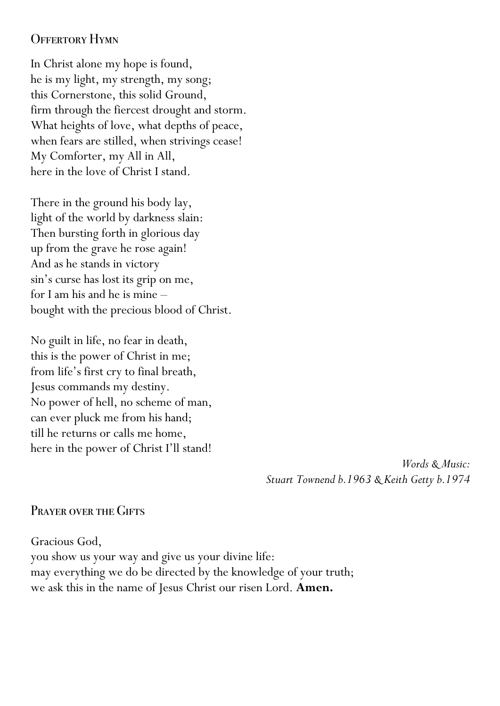## OFFERTORY HYMN

In Christ alone my hope is found, he is my light, my strength, my song; this Cornerstone, this solid Ground, firm through the fiercest drought and storm. What heights of love, what depths of peace, when fears are stilled, when strivings cease! My Comforter, my All in All, here in the love of Christ I stand.

There in the ground his body lay, light of the world by darkness slain: Then bursting forth in glorious day up from the grave he rose again! And as he stands in victory sin's curse has lost its grip on me, for I am his and he is mine – bought with the precious blood of Christ.

No guilt in life, no fear in death, this is the power of Christ in me; from life's first cry to final breath, Jesus commands my destiny. No power of hell, no scheme of man, can ever pluck me from his hand; till he returns or calls me home, here in the power of Christ I'll stand!

> *Words & Music: Stuart Townend b.1963 & Keith Getty b.1974*

# PRAYER OVER THE GIFTS

Gracious God, you show us your way and give us your divine life: may everything we do be directed by the knowledge of your truth; we ask this in the name of Jesus Christ our risen Lord. **Amen.**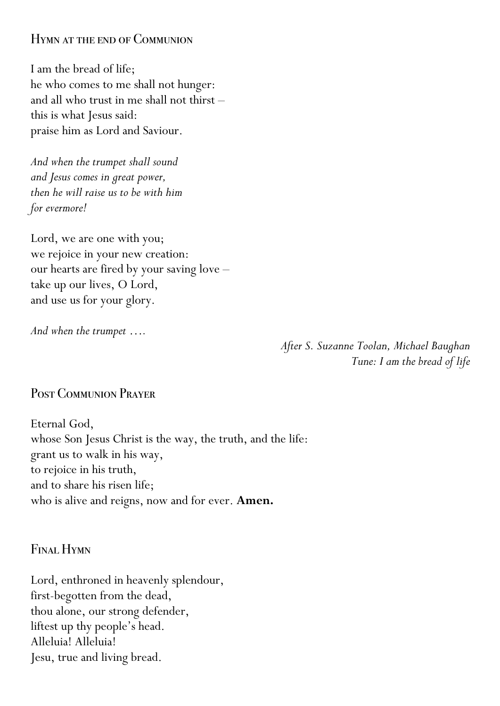#### Hymn at the end of Communion

I am the bread of life; he who comes to me shall not hunger: and all who trust in me shall not thirst – this is what Jesus said: praise him as Lord and Saviour.

*And when the trumpet shall sound and Jesus comes in great power, then he will raise us to be with him for evermore!*

Lord, we are one with you; we rejoice in your new creation: our hearts are fired by your saving love – take up our lives, O Lord, and use us for your glory.

*And when the trumpet ….*

*After S. Suzanne Toolan, Michael Baughan Tune: I am the bread of life*

## Post Communion Prayer

Eternal God, whose Son Jesus Christ is the way, the truth, and the life: grant us to walk in his way, to rejoice in his truth, and to share his risen life; who is alive and reigns, now and for ever. **Amen.**

Final Hymn

Lord, enthroned in heavenly splendour, first-begotten from the dead, thou alone, our strong defender, liftest up thy people's head. Alleluia! Alleluia! Jesu, true and living bread.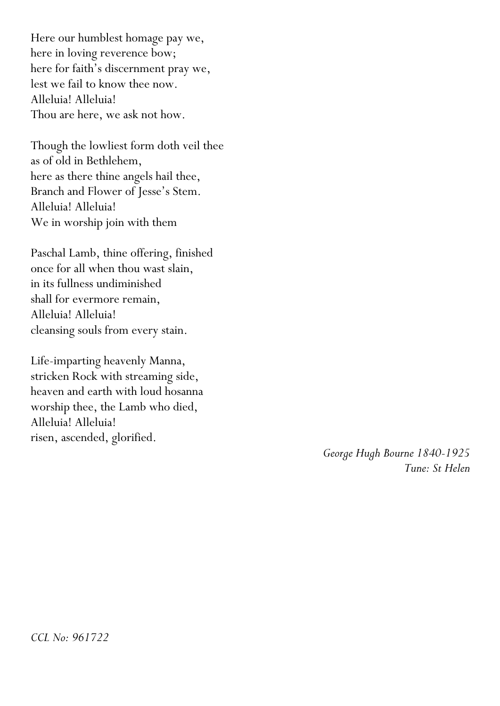Here our humblest homage pay we, here in loving reverence bow; here for faith's discernment pray we, lest we fail to know thee now. Alleluia! Alleluia! Thou are here, we ask not how.

Though the lowliest form doth veil thee as of old in Bethlehem, here as there thine angels hail thee, Branch and Flower of Jesse's Stem. Alleluia! Alleluia! We in worship join with them

Paschal Lamb, thine offering, finished once for all when thou wast slain, in its fullness undiminished shall for evermore remain, Alleluia! Alleluia! cleansing souls from every stain.

Life-imparting heavenly Manna, stricken Rock with streaming side, heaven and earth with loud hosanna worship thee, the Lamb who died, Alleluia! Alleluia! risen, ascended, glorified.

> *George Hugh Bourne 1840-1925 Tune: St Helen*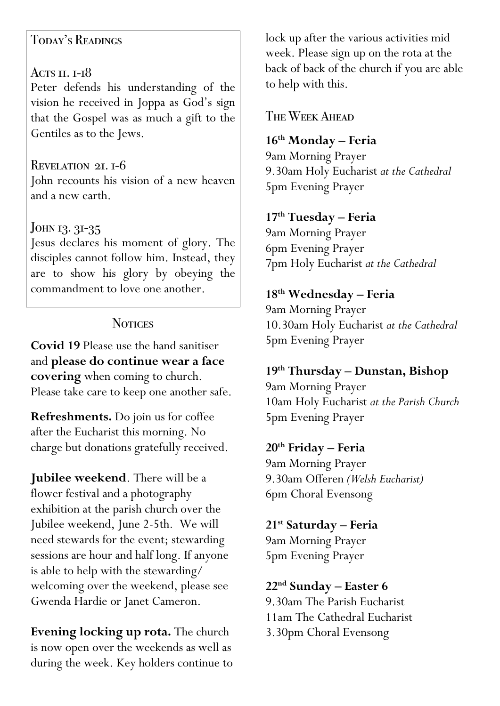## Today's Readings

# ACTS  $II$ .  $I-I$ <sup>8</sup>

Peter defends his understanding of the vision he received in Joppa as God's sign that the Gospel was as much a gift to the Gentiles as to the Jews.

Revelation 21. 1-6 John recounts his vision of a new heaven and a new earth.

# JOHN 13. 31-35

Jesus declares his moment of glory. The disciples cannot follow him. Instead, they are to show his glory by obeying the commandment to love one another.

# **NOTICES**

**Covid 19** Please use the hand sanitiser and **please do continue wear a face covering** when coming to church. Please take care to keep one another safe.

**Refreshments.** Do join us for coffee after the Eucharist this morning. No charge but donations gratefully received.

**Jubilee weekend**. There will be a flower festival and a photography exhibition at the parish church over the Jubilee weekend, June 2-5th. We will need stewards for the event; stewarding sessions are hour and half long. If anyone is able to help with the stewarding/ welcoming over the weekend, please see Gwenda Hardie or Janet Cameron.

**Evening locking up rota.** The church is now open over the weekends as well as during the week. Key holders continue to lock up after the various activities mid week. Please sign up on the rota at the back of back of the church if you are able to help with this.

The Week Ahead

## **16th Monday – Feria**

9am Morning Prayer 9.30am Holy Eucharist *at the Cathedral* 5pm Evening Prayer

## **17th Tuesday – Feria**

9am Morning Prayer 6pm Evening Prayer 7pm Holy Eucharist *at the Cathedral*

# **18th Wednesday – Feria**

9am Morning Prayer 10.30am Holy Eucharist *at the Cathedral* 5pm Evening Prayer

**19th Thursday – Dunstan, Bishop** 9am Morning Prayer 10am Holy Eucharist *at the Parish Church* 5pm Evening Prayer

## **20th Friday – Feria**

9am Morning Prayer 9.30am Offeren *(Welsh Eucharist)* 6pm Choral Evensong

# **21st Saturday – Feria**

9am Morning Prayer 5pm Evening Prayer

## **22nd Sunday – Easter 6**

9.30am The Parish Eucharist 11am The Cathedral Eucharist 3.30pm Choral Evensong